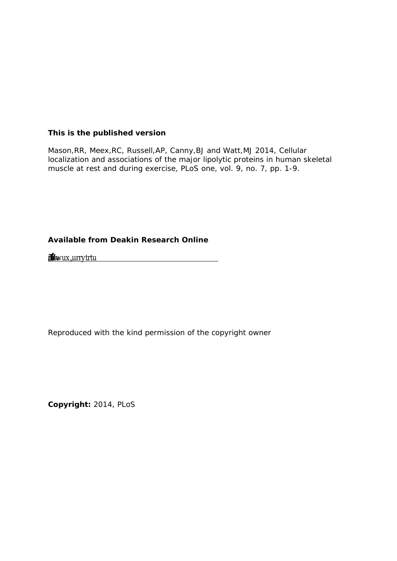**This is the published version** 

Mason,RR, Meex,RC, Russell,AP, Canny,BJ and Watt,MJ 2014, Cellular localization and associations of the major lipolytic proteins in human skeletal muscle at rest and during exercise, PLoS one, vol. 9, no. 7, pp. 1-9.

**Available from Deakin Research Online** 

**Š–'ã-ІŽäŠƒ•†Ž‡ä•–-**<u>\$rwairrytrtu</u> **-**

Reproduced with the kind permission of the copyright owner

**Copyright:** 2014, PLoS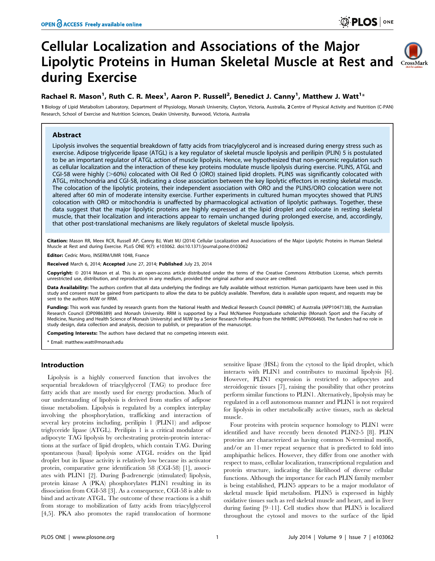# Cellular Localization and Associations of the Major Lipolytic Proteins in Human Skeletal Muscle at Rest and CrossMark during Exercise



# Rachael R. Mason<sup>1</sup>, Ruth C. R. Meex<sup>1</sup>, Aaron P. Russell<sup>2</sup>, Benedict J. Canny<sup>1</sup>, Matthew J. Watt<sup>1</sup>\*

1 Biology of Lipid Metabolism Laboratory, Department of Physiology, Monash University, Clayton, Victoria, Australia, 2 Centre of Physical Activity and Nutrition (C-PAN) Research, School of Exercise and Nutrition Sciences, Deakin University, Burwood, Victoria, Australia

# Abstract

Lipolysis involves the sequential breakdown of fatty acids from triacylglycerol and is increased during energy stress such as exercise. Adipose triglyceride lipase (ATGL) is a key regulator of skeletal muscle lipolysis and perilipin (PLIN) 5 is postulated to be an important regulator of ATGL action of muscle lipolysis. Hence, we hypothesized that non-genomic regulation such as cellular localization and the interaction of these key proteins modulate muscle lipolysis during exercise. PLIN5, ATGL and CGI-58 were highly ( $>60\%$ ) colocated with Oil Red O (ORO) stained lipid droplets. PLIN5 was significantly colocated with ATGL, mitochondria and CGI-58, indicating a close association between the key lipolytic effectors in resting skeletal muscle. The colocation of the lipolytic proteins, their independent association with ORO and the PLIN5/ORO colocation were not altered after 60 min of moderate intensity exercise. Further experiments in cultured human myocytes showed that PLIN5 colocation with ORO or mitochondria is unaffected by pharmacological activation of lipolytic pathways. Together, these data suggest that the major lipolytic proteins are highly expressed at the lipid droplet and colocate in resting skeletal muscle, that their localization and interactions appear to remain unchanged during prolonged exercise, and, accordingly, that other post-translational mechanisms are likely regulators of skeletal muscle lipolysis.

Citation: Mason RR, Meex RCR, Russell AP, Canny BJ, Watt MJ (2014) Cellular Localization and Associations of the Major Lipolytic Proteins in Human Skeletal Muscle at Rest and during Exercise. PLoS ONE 9(7): e103062. doi:10.1371/journal.pone.0103062

Editor: Cedric Moro, INSERM/UMR 1048, France

Received March 6, 2014; Accepted June 27, 2014; Published July 23, 2014

**Copyright:** © 2014 Mason et al. This is an open-access article distributed under the terms of the [Creative Commons Attribution License](http://creativecommons.org/licenses/by/4.0/), which permits unrestricted use, distribution, and reproduction in any medium, provided the original author and source are credited.

Data Availability: The authors confirm that all data underlying the findings are fully available without restriction. Human participants have been used in this study and consent must be gained from participants to allow the data to be publicly available. Therefore, data is available upon request, and requests may be sent to the authors MJW or RRM.

Funding: This work was funded by research grants from the National Health and Medical Research Council (NHMRC) of Australia (APP1047138), the Australian Research Council (DP0986389) and Monash University. RRM is supported by a Paul McNamee Postgraduate scholarship (Monash Sport and the Faculty of Medicine, Nursing and Health Science of Monash University) and MJW by a Senior Research Fellowship from the NHMRC (APP606460). The funders had no role in study design, data collection and analysis, decision to publish, or preparation of the manuscript.

Competing Interests: The authors have declared that no competing interests exist.

\* Email: matthew.watt@monash.edu

# Introduction

Lipolysis is a highly conserved function that involves the sequential breakdown of triacylglycerol (TAG) to produce free fatty acids that are mostly used for energy production. Much of our understanding of lipolysis is derived from studies of adipose tissue metabolism. Lipolysis is regulated by a complex interplay involving the phosphorylation, trafficking and interaction of several key proteins including, perilipin 1 (PLIN1) and adipose triglyceride lipase (ATGL). Perilipin 1 is a critical modulator of adipocyte TAG lipolysis by orchestrating protein-protein interactions at the surface of lipid droplets, which contain TAG. During spontaneous (basal) lipolysis some ATGL resides on the lipid droplet but its lipase activity is relatively low because its activator protein, comparative gene identification 58 (CGI-58) [1], associates with PLIN1 [2]. During  $\beta$ -adrenergic (stimulated) lipolysis, protein kinase A (PKA) phosphorylates PLIN1 resulting in its dissociation from CGI-58 [3]. As a consequence, CGI-58 is able to bind and activate ATGL. The outcome of these reactions is a shift from storage to mobilization of fatty acids from triacylglycerol [4,5]. PKA also promotes the rapid translocation of hormone

sensitive lipase (HSL) from the cytosol to the lipid droplet, which interacts with PLIN1 and contributes to maximal lipolysis [6]. However, PLIN1 expression is restricted to adipocytes and steroidogenic tissues [7], raising the possibility that other proteins perform similar functions to PLIN1. Alternatively, lipolysis may be regulated in a cell autonomous manner and PLIN1 is not required for lipolysis in other metabolically active tissues, such as skeletal muscle.

Four proteins with protein sequence homology to PLIN1 were identified and have recently been denoted PLIN2-5 [8]. PLIN proteins are characterized as having common N-terminal motifs, and/or an 11-mer repeat sequence that is predicted to fold into amphipathic helices. However, they differ from one another with respect to mass, cellular localization, transcriptional regulation and protein structure, indicating the likelihood of diverse cellular functions. Although the importance for each PLIN family member is being established, PLIN5 appears to be a major modulator of skeletal muscle lipid metabolism. PLIN5 is expressed in highly oxidative tissues such as red skeletal muscle and heart, and in liver during fasting [9–11]. Cell studies show that PLIN5 is localized throughout the cytosol and moves to the surface of the lipid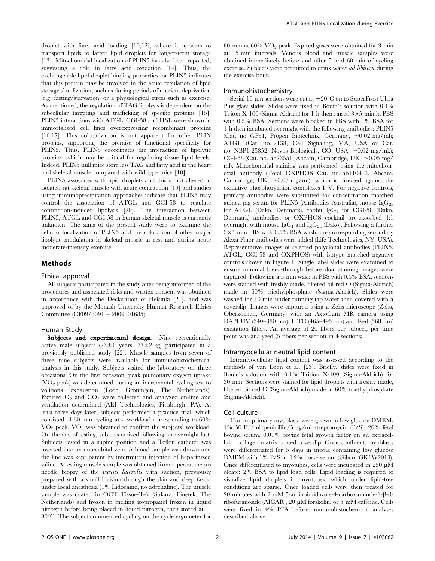droplet with fatty acid loading [10,12], where it appears to transport lipids to larger lipid droplets for longer-term storage [13]. Mitochondrial localization of PLIN5 has also been reported, suggesting a role in fatty acid oxidation [14]. Thus, the exchangeable lipid droplet binding properties for PLIN5 indicates that this protein may be involved in the acute regulation of lipid storage / utilization, such as during periods of nutrient deprivation (e.g. fasting/starvation) or a physiological stress such as exercise. As mentioned, the regulation of TAG lipolysis is dependent on the subcellular targeting and trafficking of specific proteins [15]. PLIN5 interactions with ATGL, CGI-58 and HSL were shown in immortalized cell lines overexpressing recombinant proteins [16,17]. This colocalization is not apparent for other PLIN proteins, supporting the premise of functional specificity for PLIN5. Thus, PLIN5 coordinates the interaction of lipolytic proteins, which may be critical for regulating tissue lipid levels. Indeed, PLIN5 null mice store less TAG and fatty acid in the heart and skeletal muscle compared with wild type mice [18].

PLIN5 associates with lipid droplets and this is not altered in isolated rat skeletal muscle with acute contraction [19] and studies using immunoprecipitation approaches indicate that PLIN5 may control the association of ATGL and CGI-58 to regulate contraction-induced lipolysis [20]. The interaction between PLIN5, ATGL and CGI-58 in human skeletal muscle is currently unknown. The aims of the present study were to examine the cellular localization of PLIN5 and the colocation of other major lipolytic modulators in skeletal muscle at rest and during acute moderate-intensity exercise.

# Methods

#### Ethical approval

All subjects participated in the study after being informed of the procedures and associated risks and written consent was obtained in accordance with the Declaration of Helsinki [21], and was approved of by the Monash University Human Research Ethics Committee (CF09/3091 – 2009001685).

#### Human Study

Subjects and experimental design. Nine recreationally active male subjects  $(23 \pm 1)$  years,  $77 \pm 2$  kg) participated in a previously published study [22]. Muscle samples from seven of these nine subjects were available for immunohistochemical analysis in this study. Subjects visited the laboratory on three occasions. On the first occasion, peak pulmonary oxygen uptake  $(VO<sub>2</sub>)$  peak) was determined during an incremental cycling test to volitional exhaustion (Lode, Groningen, The Netherlands). Expired  $O_2$  and  $CO_2$  were collected and analyzed on-line and ventilation determined (AEI Technologies, Pittsburgh, PA). At least three days later, subjects performed a practice trial, which consisted of 60 min cycling at a workload corresponding to 60%  $VO<sub>2</sub>$  peak.  $VO<sub>2</sub>$  was obtained to confirm the subjects' workload. On the day of testing, subjects arrived following an overnight fast. Subjects rested in a supine position and a Teflon catheter was inserted into an antecubital vein. A blood sample was drawn and the line was kept patent by intermittent injection of heparinized saline. A resting muscle sample was obtained from a percutaneous needle biopsy of the vastus lateralis with suction, previously prepared with a small incision through the skin and deep fascia under local anesthesia (1% Lidocaine, no adrenaline). The muscle sample was coated in OCT Tissue-Tek (Sukara, Finetek, The Netherlands) and frozen in melting isopropanol frozen in liquid nitrogen before being placed in liquid nitrogen, then stored at  $80^{\circ}$ C. The subject commenced cycling on the cycle ergometer for  $60$  min at  $60\%$   $\mathrm{VO}_2$  peak. Expired gases were obtained for 3 min at 15 min intervals. Venous blood and muscle samples were obtained immediately before and after 5 and 60 min of cycling exercise. Subjects were permitted to drink water ad libitum during the exercise bout.

#### Immunohistochemistry

Serial 10  $\mu$ m sections were cut at  $-20^{\circ}$ C on to SuperFrost Ultra Plus glass slides. Slides were fixed in Bouin's solution with 0.1% Triton X-100 (Sigma-Aldrich) for 1 h then rinsed  $3\times5$  min in PBS with 0.5% BSA. Sections were blocked in PBS with 1% BSA for 1 h then incubated overnight with the following antibodies: PLIN5 (Cat. no. GP31, Progen Biotechnik, Germany,  $\sim 0.02$  mg/ml); ATGL (Cat. no. 2138, Cell Signaling, MA, USA or Cat. no. NBP1-25852, Novus Biologicals, CO, USA,  $\sim 0.02$  mg/ml.); CGI-58 (Cat. no. ab73551, Abcam, Cambridge, UK,  $\sim 0.05$  mg/ ml). Mitochondrial staining was performed using the mitochondrial antibody (Total OXPHOS Cat. no. ab110413, Abcam, Cambridge, UK,  $\sim 0.03$  mg/ml), which is directed against the oxidative phosphorylation complexes I–V. For negative controls, primary antibodies were substituted for concentration matched guinea pig serum for PLIN5 (Antibodies Australia), mouse  $\text{IgG}_{2a}$ for ATGL (Dako, Denmark), rabbit  $IgG_1$  for CGI-58 (Dako, Denmark) antibodies, or OXPHOS cocktail pre-absorbed 4:1 overnight with mouse  $IgG_1$  and  $IgG_{2a}$  (Dako). Following a further  $3\times5$  min PBS with 0.5% BSA wash, the corresponding secondary Alexa Fluor antibodies were added (Life Technologies, NY, USA). Representative images of selected polyclonal antibodies (PLIN5, ATGL, CGI-58 and OXPHOS) with isotype matched negative controls shown in Figure 1. Single label slides were examined to ensure minimal bleed-through before dual staining images were captured. Following a 5 min wash in PBS with 0.5% BSA, sections were stained with freshly made, filtered oil red O (Sigma-Aldrich) made in 60% triethylphosphate (Sigma-Aldrich). Slides were washed for 10 min under running tap water then covered with a coverslip. Images were captured using a Zeiss microscope (Zeiss, Oberkochen, Germany) with an AxioCam MR camera using DAPI UV (340–380 nm), FITC (465–495 nm) and Red (568 nm) excitation filters. An average of 20 fibers per subject, per time point was analyzed (5 fibers per section in 4 sections).

## Intramyocellular neutral lipid content

Intramyocellular lipid content was assessed according to the methods of van Loon et al. [23]. Briefly, slides were fixed in Bouin's solution with 0.1% Trition X-100 (Sigma-Aldrich) for 30 min. Sections were stained for lipid droplets with freshly made, filtered oil red O (Sigma-Aldrich) made in 60% triethylphosphate (Sigma-Aldrich).

#### Cell culture

Human primary myoblasts were grown in low glucose DMEM, 1% 50 IU/ml penicillin/5  $\mu$ g/ml streptomycin (P/S), 20% fetal bovine serum, 0.01% bovine fetal growth factor on an extracellular collagen matrix coated coverslip. Once confluent, myoblasts were differentiated for 5 days in media containing low glucose DMEM with 1% P/S and 2% horse serum (Gibco, GK1W2013). Once differentiated to myotubes, cells were incubated in 250  $\mu$ M oleate: 2% BSA to lipid load cells. Lipid loading is required to visualize lipid droplets in myotubes, which under lipid-free conditions are sparse. Once loaded cells were then treated for 20 minutes with 2 mM 5-aminoimidazole-4-carboxaminde-1-β-dribofuranoside (AICAR), 20 µM forskolin, or 5 mM caffeine. Cells were fixed in 4% PFA before immunohistochemical analyses described above.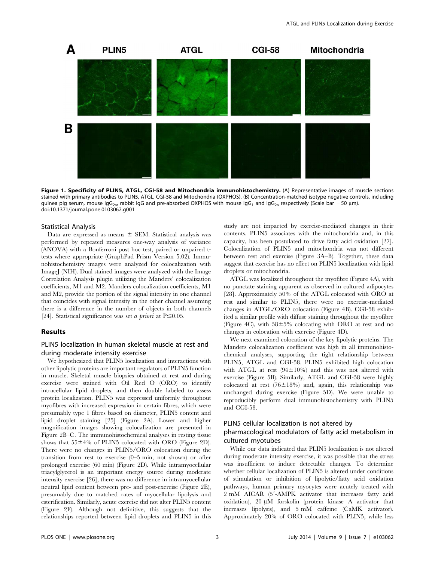

Figure 1. Specificity of PLIN5, ATGL, CGI-58 and Mitochondria immunohistochemistry. (A) Representative images of muscle sections stained with primary antibodies to PLIN5, ATGL, CGI-58 and Mitochondria (OXPHOS). (B) Concentration-matched isotype negative controls, including guinea pig serum, mouse IgG<sub>2a</sub>, rabbit IgG and pre-absorbed OXPHOS with mouse IgG<sub>1</sub> and IgG<sub>2a</sub> respectively (Scale bar = 50 µm). doi:10.1371/journal.pone.0103062.g001

#### Statistical Analysis

Data are expressed as means  $\pm$  SEM. Statistical analysis was performed by repeated measures one-way analysis of variance (ANOVA) with a Bonferroni post hoc test, paired or unpaired ttests where appropriate (GraphPad Prism Version 5.02). Immunohistochemistry images were analyzed for colocalization with ImageJ (NIH). Dual stained images were analyzed with the Image Correlation Analysis plugin utilizing the Manders' colocalization coefficients, M1 and M2. Manders colocalization coefficients, M1 and M2, provide the portion of the signal intensity in one channel that coincides with signal intensity in the other channel assuming there is a difference in the number of objects in both channels [24]. Statistical significance was set *a priori* at  $P \le 0.05$ .

# Results

# PLIN5 localization in human skeletal muscle at rest and during moderate intensity exercise

We hypothesized that PLIN5 localization and interactions with other lipolytic proteins are important regulators of PLIN5 function in muscle. Skeletal muscle biopsies obtained at rest and during exercise were stained with Oil Red O (ORO) to identify intracellular lipid droplets, and then double labeled to assess protein localization. PLIN5 was expressed uniformly throughout myofibres with increased expression in certain fibres, which were presumably type 1 fibres based on diameter, PLIN5 content and lipid droplet staining [25] (Figure 2A). Lower and higher magnification images showing colocalization are presented in Figure 2B–C. The immunohistochemical analyses in resting tissue shows that  $55\pm4\%$  of PLIN5 colocated with ORO (Figure 2D). There were no changes in PLIN5/ORO colocation during the transition from rest to exercise (0–5 min, not shown) or after prolonged exercise (60 min) (Figure 2D). While intramyocellular triacylglycerol is an important energy source during moderate intensity exercise [26], there was no difference in intramyocellular neutral lipid content between pre- and post-exercise (Figure 2E), presumably due to matched rates of myocellular lipolysis and esterification. Similarly, acute exercise did not alter PLIN5 content (Figure 2F). Although not definitive, this suggests that the relationships reported between lipid droplets and PLIN5 in this study are not impacted by exercise-mediated changes in their contents. PLIN5 associates with the mitochondria and, in this capacity, has been postulated to drive fatty acid oxidation [27]. Colocalization of PLIN5 and mitochondria was not different between rest and exercise (Figure 3A–B). Together, these data suggest that exercise has no effect on PLIN5 localization with lipid droplets or mitochondria.

ATGL was localized throughout the myofibre (Figure 4A), with no punctate staining apparent as observed in cultured adipocytes [28]. Approximately 50% of the ATGL colocated with ORO at rest and similar to PLIN5, there were no exercise-mediated changes in ATGL/ORO colocation (Figure 4B). CGI-58 exhibited a similar profile with diffuse staining throughout the myofibre (Figure 4C), with  $58\pm5\%$  colocating with ORO at rest and no changes in colocation with exercise (Figure 4D).

We next examined colocation of the key lipolytic proteins. The Manders colocalization coefficient was high in all immunohistochemical analyses, supporting the tight relationship between PLIN5, ATGL and CGI-58. PLIN5 exhibited high colocation with ATGL at rest  $(94\pm10\%)$  and this was not altered with exercise (Figure 5B). Similarly, ATGL and CGI-58 were highly colocated at rest  $(76\pm18\%)$  and, again, this relationship was unchanged during exercise (Figure 5D). We were unable to reproducibly perform dual immunohistochemistry with PLIN5 and CGI-58.

#### PLIN5 cellular localization is not altered by

# pharmacological modulators of fatty acid metabolism in cultured myotubes

While our data indicated that PLIN5 localization is not altered during moderate intensity exercise, it was possible that the stress was insufficient to induce detectable changes. To determine whether cellular localization of PLIN5 is altered under conditions of stimulation or inhibition of lipolytic/fatty acid oxidation pathways, human primary myocytes were acutely treated with 2 mM AICAR (5'-AMPK activator that increases fatty acid oxidation),  $20 \mu M$  forskolin (protein kinase A activator that increases lipolysis), and 5 mM caffeine (CaMK activator). Approximately 20% of ORO colocated with PLIN5, while less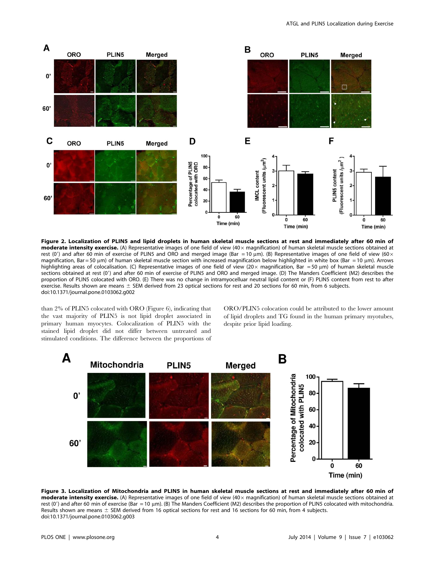

Figure 2. Localization of PLIN5 and lipid droplets in human skeletal muscle sections at rest and immediately after 60 min of **moderate intensity exercise.** (A) Representative images of one field of view  $(40 \times$  magnification) of human skeletal muscle sections obtained at rest (0') and after 60 min of exercise of PLIN5 and ORO and merged image (Bar = 10 µm). (B) Representative images of one field of view (60 $\times$ magnification, Bar = 50  $\mu$ m) of human skeletal muscle section with increased magnification below highlighted in white box (Bar = 10  $\mu$ m). Arrows highlighting areas of colocalisation. (C) Representative images of one field of view (20 $\times$  magnification, Bar = 50 µm) of human skeletal muscle sections obtained at rest (0') and after 60 min of exercise of PLIN5 and ORO and merged image. (D) The Manders Coefficient (M2) describes the proportion of PLIN5 colocated with ORO. (E) There was no change in intramyocelluar neutral lipid content or (F) PLIN5 content from rest to after exercise. Results shown are means  $\pm$  SEM derived from 23 optical sections for rest and 20 sections for 60 min, from 6 subjects. doi:10.1371/journal.pone.0103062.g002

than 2% of PLIN5 colocated with ORO (Figure 6), indicating that the vast majority of PLIN5 is not lipid droplet associated in primary human myocytes. Colocalization of PLIN5 with the stained lipid droplet did not differ between untreated and stimulated conditions. The difference between the proportions of

ORO/PLIN5 colocation could be attributed to the lower amount of lipid droplets and TG found in the human primary myotubes, despite prior lipid loading.

![](_page_4_Figure_5.jpeg)

Figure 3. Localization of Mitochondria and PLIN5 in human skeletal muscle sections at rest and immediately after 60 min of **moderate intensity exercise.** (A) Representative images of one field of view  $(40 \times$  magnification) of human skeletal muscle sections obtained at rest (0') and after 60 min of exercise (Bar = 10 μm). (B) The Manders Coefficient (M2) describes the proportion of PLIN5 colocated with mitochondria. Results shown are means  $\pm$  SEM derived from 16 optical sections for rest and 16 sections for 60 min, from 4 subjects. doi:10.1371/journal.pone.0103062.g003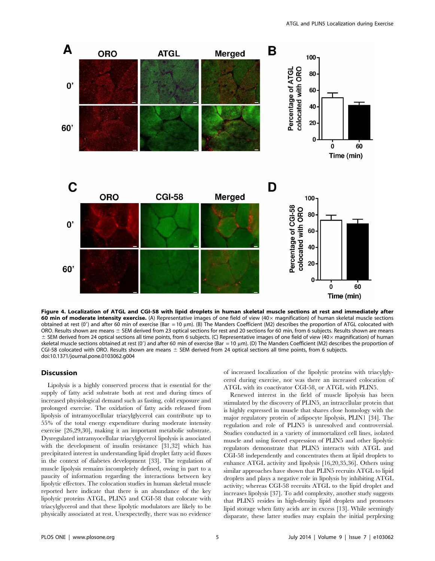![](_page_5_Figure_1.jpeg)

Figure 4. Localization of ATGL and CGI-58 with lipid droplets in human skeletal muscle sections at rest and immediately after 60 min of moderate intensity exercise. (A) Representative images of one field of view (40 $\times$  magnification) of human skeletal muscle sections obtained at rest (0') and after 60 min of exercise (Bar = 10 µm). (B) The Manders Coefficient (M2) describes the proportion of ATGL colocated with ORO. Results shown are means  $\pm$  SEM derived from 23 optical sections for rest and 20 sections for 60 min, from 6 subjects. Results shown are means  $\pm$  SEM derived from 24 optical sections all time points, from 6 subjects. (C) Representative images of one field of view (40 $\times$  magnification) of human skeletal muscle sections obtained at rest (0') and after 60 min of exercise (Bar = 10 µm). (D) The Manders Coefficient (M2) describes the proportion of CGI-58 colocated with ORO. Results shown are means  $\pm$  SEM derived from 24 optical sections all time points, from 6 subjects. doi:10.1371/journal.pone.0103062.g004

#### **Discussion**

Lipolysis is a highly conserved process that is essential for the supply of fatty acid substrate both at rest and during times of increased physiological demand such as fasting, cold exposure and prolonged exercise. The oxidation of fatty acids released from lipolysis of intramyocellular triacylglycerol can contribute up to 55% of the total energy expenditure during moderate intensity exercise [26,29,30], making it an important metabolic substrate. Dysregulated intramyocellular triacylglycerol lipolysis is associated with the development of insulin resistance [31,32] which has precipitated interest in understanding lipid droplet fatty acid fluxes in the context of diabetes development [33]. The regulation of muscle lipolysis remains incompletely defined, owing in part to a paucity of information regarding the interactions between key lipolytic effectors. The colocation studies in human skeletal muscle reported here indicate that there is an abundance of the key lipolytic proteins ATGL, PLIN5 and CGI-58 that colocate with triacylglycerol and that these lipolytic modulators are likely to be physically associated at rest. Unexpectedly, there was no evidence

of increased localization of the lipolytic proteins with triacylglycerol during exercise, nor was there an increased colocation of ATGL with its coactivator CGI-58, or ATGL with PLIN5.

Renewed interest in the field of muscle lipolysis has been stimulated by the discovery of PLIN5, an intracellular protein that is highly expressed in muscle that shares close homology with the major regulatory protein of adipocyte lipolysis, PLIN1 [34]. The regulation and role of PLIN5 is unresolved and controversial. Studies conducted in a variety of immortalized cell lines, isolated muscle and using forced expression of PLIN5 and other lipolytic regulators demonstrate that PLIN5 interacts with ATGL and CGI-58 independently and concentrates them at lipid droplets to enhance ATGL activity and lipolysis [16,20,35,36]. Others using similar approaches have shown that PLIN5 recruits ATGL to lipid droplets and plays a negative role in lipolysis by inhibiting ATGL activity; whereas CGI-58 recruits ATGL to the lipid droplet and increases lipolysis [37]. To add complexity, another study suggests that PLIN5 resides in high-density lipid droplets and promotes lipid storage when fatty acids are in excess [13]. While seemingly disparate, these latter studies may explain the initial perplexing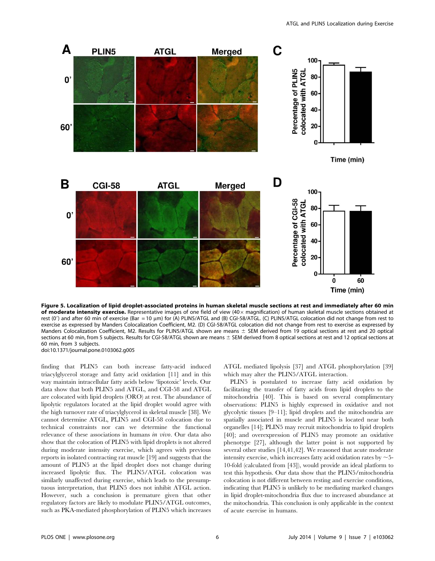![](_page_6_Figure_1.jpeg)

Figure 5. Localization of lipid droplet-associated proteins in human skeletal muscle sections at rest and immediately after 60 min of moderate intensity exercise. Representative images of one field of view  $(40 \times$  magnification) of human skeletal muscle sections obtained at rest (0') and after 60 min of exercise (Bar = 10 µm) for (A) PLIN5/ATGL and (B) CGI-58/ATGL. (C) PLIN5/ATGL colocation did not change from rest to exercise as expressed by Manders Colocalization Coefficient, M2. (D) CGI-58/ATGL colocation did not change from rest to exercise as expressed by Manders Colocalization Coefficient, M2. Results for PLIN5/ATGL shown are means  $\pm$  SEM derived from 19 optical sections at rest and 20 optical sections at 60 min, from 5 subjects. Results for CGI-58/ATGL shown are means  $\pm$  SEM derived from 8 optical sections at rest and 12 optical sections at 60 min, from 3 subjects. doi:10.1371/journal.pone.0103062.g005

finding that PLIN5 can both increase fatty-acid induced triacylglycerol storage and fatty acid oxidation [11] and in this way maintain intracellular fatty acids below 'lipotoxic' levels. Our data show that both PLIN5 and ATGL, and CGI-58 and ATGL are colocated with lipid droplets (ORO) at rest. The abundance of lipolytic regulators located at the lipid droplet would agree with the high turnover rate of triacylglycerol in skeletal muscle [38]. We cannot determine ATGL, PLIN5 and CGI-58 colocation due to technical constraints nor can we determine the functional relevance of these associations in humans *in vivo*. Our data also show that the colocation of PLIN5 with lipid droplets is not altered during moderate intensity exercise, which agrees with previous reports in isolated contracting rat muscle [19] and suggests that the amount of PLIN5 at the lipid droplet does not change during increased lipolytic flux. The PLIN5/ATGL colocation was similarly unaffected during exercise, which leads to the presumptuous interpretation, that PLIN5 does not inhibit ATGL action. However, such a conclusion is premature given that other regulatory factors are likely to modulate PLIN5/ATGL outcomes, such as PKA-mediated phosphorylation of PLIN5 which increases ATGL mediated lipolysis [37] and ATGL phosphorylation [39] which may alter the PLIN5/ATGL interaction.

PLIN5 is postulated to increase fatty acid oxidation by facilitating the transfer of fatty acids from lipid droplets to the mitochondria [40]. This is based on several complimentary observations: PLIN5 is highly expressed in oxidative and not glycolytic tissues [9–11]; lipid droplets and the mitochondria are spatially associated in muscle and PLIN5 is located near both organelles [14]; PLIN5 may recruit mitochondria to lipid droplets [40]; and overexpression of PLIN5 may promote an oxidative phenotype [27], although the latter point is not supported by several other studies [14,41,42]. We reasoned that acute moderate intensity exercise, which increases fatty acid oxidation rates by  $\sim$  5-10-fold (calculated from [43]), would provide an ideal platform to test this hypothesis. Our data show that the PLIN5/mitochondria colocation is not different between resting and exercise conditions, indicating that PLIN5 is unlikely to be mediating marked changes in lipid droplet-mitochondria flux due to increased abundance at the mitochondria. This conclusion is only applicable in the context of acute exercise in humans.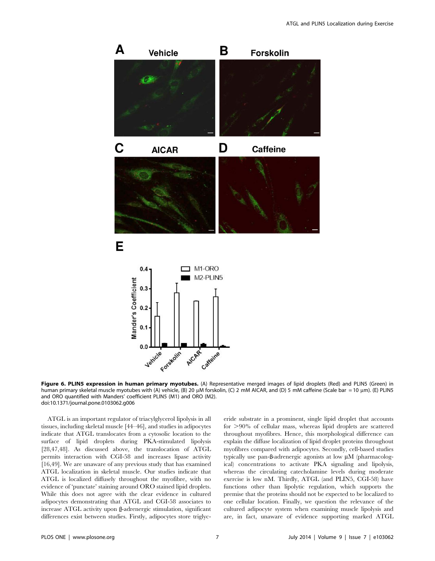![](_page_7_Figure_1.jpeg)

Figure 6. PLIN5 expression in human primary myotubes. (A) Representative merged images of lipid droplets (Red) and PLIN5 (Green) in human primary skeletal muscle myotubes with (A) vehicle, (B) 20 μM forskolin, (C) 2 mM AICAR, and (D) 5 mM caffeine (Scale bar = 10 μm). (E) PLIN5 and ORO quantified with Manders' coefficient PLIN5 (M1) and ORO (M2). doi:10.1371/journal.pone.0103062.g006

ATGL is an important regulator of triacylglycerol lipolysis in all tissues, including skeletal muscle [44–46], and studies in adipocytes indicate that ATGL translocates from a cytosolic location to the surface of lipid droplets during PKA-stimulated lipolysis [28,47,48]. As discussed above, the translocation of ATGL permits interaction with CGI-58 and increases lipase activity [16,49]. We are unaware of any previous study that has examined ATGL localization in skeletal muscle. Our studies indicate that ATGL is localized diffusely throughout the myofibre, with no evidence of 'punctate' staining around ORO stained lipid droplets. While this does not agree with the clear evidence in cultured adipocytes demonstrating that ATGL and CGI-58 associates to increase ATGL activity upon ß-adrenergic stimulation, significant differences exist between studies. Firstly, adipocytes store triglyceride substrate in a prominent, single lipid droplet that accounts for  $>90\%$  of cellular mass, whereas lipid droplets are scattered throughout myofibres. Hence, this morphological difference can explain the diffuse localization of lipid droplet proteins throughout myofibres compared with adipocytes. Secondly, cell-based studies typically use pan- $\beta$ -adrenergic agonists at low  $\mu$ M (pharmacological) concentrations to activate PKA signaling and lipolysis, whereas the circulating catecholamine levels during moderate exercise is low nM. Thirdly, ATGL (and PLIN5, CGI-58) have functions other than lipolytic regulation, which supports the premise that the proteins should not be expected to be localized to one cellular location. Finally, we question the relevance of the cultured adipocyte system when examining muscle lipolysis and are, in fact, unaware of evidence supporting marked ATGL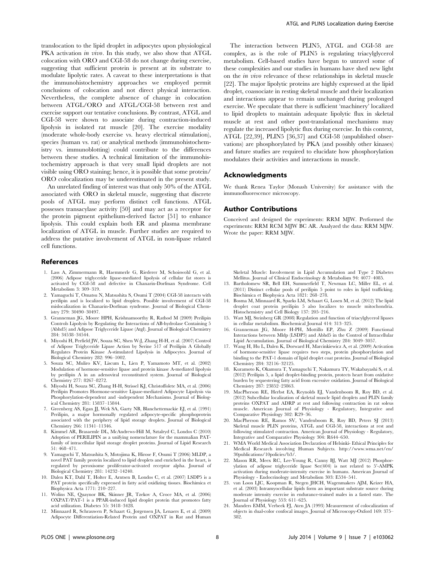translocation to the lipid droplet in adipocytes upon physiological PKA activation in vivo. In this study, we also show that ATGL colocation with ORO and CGI-58 do not change during exercise, suggesting that sufficient protein is present at its substrate to modulate lipolytic rates. A caveat to these interpretations is that the immunohistochemistry approaches we employed permit conclusions of colocation and not direct physical interaction. Nevertheless, the complete absence of change in colocation between ATGL/ORO and ATGL/CGI-58 between rest and exercise support our tentative conclusions. By contrast, ATGL and CGI-58 were shown to associate during contraction-induced lipolysis in isolated rat muscle [20]. The exercise modality (moderate whole-body exercise vs. heavy electrical stimulation), species (human vs. rat) or analytical methods (immunohistochemistry vs. immunoblotting) could contribute to the differences between these studies. A technical limitation of the immunohistochemistry approach is that very small lipid droplets are not visible using ORO staining; hence, it is possible that some protein/ ORO colocalization may be underestimated in the present study.

An unrelated finding of interest was that only 50% of the ATGL associated with ORO in skeletal muscle, suggesting that discrete pools of ATGL may perform distinct cell functions. ATGL possesses transacylase activity [50] and may act as a receptor for the protein pigment epithelium-derived factor [51] to enhance lipolysis. This could explain both ER and plasma membrane localization of ATGL in muscle. Further studies are required to address the putative involvement of ATGL in non-lipase related cell functions.

## References

- 1. Lass A, Zimmermann R, Haemmerle G, Riederer M, Schoiswohl G, et al. (2006) Adipose triglyceride lipase-mediated lipolysis of cellular fat stores is activated by CGI-58 and defective in Chanarin-Dorfman Syndrome. Cell Metabolism 3: 309–319.
- 2. Yamaguchi T, Omatsu N, Matsushita S, Osumi T (2004) CGI-58 interacts with perilipin and is localized to lipid droplets. Possible involvement of CGI-58 mislocalization in Chanarin-Dorfman syndrome. Journal of Biological Chemistry 279: 30490–30497.
- 3. Granneman JG, Moore HPH, Krishnamoorthy R, Rathod M (2009) Perilipin Controls Lipolysis by Regulating the Interactions of AB-hydrolase Containing 5 (Abhd5) and Adipose Triglyceride Lipase (Atgl). Journal of Biological Chemistry 284: 34538–34544.
- 4. Miyoshi H, Perfield JW, Souza SC, Shen W-J, Zhang H-H, et al. (2007) Control of Adipose Triglyceride Lipase Action by Serine 517 of Perilipin A Globally Regulates Protein Kinase A-stimulated Lipolysis in Adipocytes. Journal of Biological Chemistry 282: 996–1002.
- 5. Souza SC, Muliro KV, Liscum L, Lien P, Yamamoto MT, et al. (2002) Modulation of hormone-sensitive lipase and protein kinase A-mediated lipolysis by perilipin A in an adenoviral reconstituted system. Journal of Biological Chemistry 277: 8267–8272.
- 6. Miyoshi H, Souza SC, Zhang H-H, Strissel KJ, Christoffolete MA, et al. (2006) Perilipin Promotes Hormone-sensitive Lipase-mediated Adipocyte Lipolysis via Phosphorylation-dependent and -independent Mechanisms. Journal of Biological Chemistry 281: 15837–15844.
- 7. Greenberg AS, Egan JJ, Wek SA, Garty NB, Blanchettemackie EJ, et al. (1991) Perilipin, a major hormonally regulated adipocyte-specific phosphoprotein associated with the periphery of lipid storage droplets. Journal of Biological Chemistry 266: 11341–11346.
- 8. Kimmel AR, Brasaemle DL, McAndrews-Hill M, Sztalryd C, Londos C (2010) Adoption of PERILIPIN as a unifying nomenclature for the mammalian PATfamily of intracellular lipid storage droplet proteins. Journal of Lipid Research 51: 468–471.
- 9. Yamaguchi T, Matsushita S, Motojima K, Hirose F, Osumi T (2006) MLDP, a novel PAT family protein localized to lipid droplets and enriched in the heart, is regulated by peroxisome proliferator-activated receptor alpha. Journal of Biological Chemistry 281: 14232–14240.
- 10. Dalen KT, Dahl T, Holter E, Arntsen B, Londos C, et al. (2007) LSDP5 is a PAT protein specifically expressed in fatty acid oxidizing tissues. Biochimica et Biophysica Acta 1771: 210–227.
- 11. Wolins NE, Quaynor BK, Skinner JR, Tzekov A, Croce MA, et al. (2006) OXPAT/PAT-1 is a PPAR-induced lipid droplet protein that promotes fatty acid utilization. Diabetes 55: 3418–3428.
- 12. Minnaard R, Schrauwen P, Schaart G, Jorgensen JA, Lenaers E, et al. (2009) Adipocyte Differentiation-Related Protein and OXPAT in Rat and Human

The interaction between PLIN5, ATGL and CGI-58 are complex, as is the role of PLIN5 is regulating triacylglycerol metabolism. Cell-based studies have begun to unravel some of these complexities and our studies in humans have shed new light on the in vivo relevance of these relationships in skeletal muscle [22]. The major lipolytic proteins are highly expressed at the lipid droplet, coassociate in resting skeletal muscle and their localization and interactions appear to remain unchanged during prolonged exercise. We speculate that there is sufficient 'machinery' localized to lipid droplets to maintain adequate lipolytic flux in skeletal muscle at rest and other post-translational mechanisms may regulate the increased lipolytic flux during exercise. In this context, ATGL [22,39], PLIN5 [36,37] and CGI-58 (unpublished observations) are phosphorylated by PKA (and possibly other kinases) and future studies are required to elucidate how phosphorylation modulates their activities and interactions in muscle.

#### Acknowledgments

We thank Renea Taylor (Monash University) for assistance with the immunofluorescence microscopy.

#### Author Contributions

Conceived and designed the experiments: RRM MJW. Performed the experiments: RRM RCM MJW BC AR. Analyzed the data: RRM MJW. Wrote the paper: RRM MJW.

Skeletal Muscle: Involvement in Lipid Accumulation and Type 2 Diabetes Mellitus. Journal of Clinical Endocrinology & Metabolism 94: 4077–4085.

- 13. Bartholomew SR, Bell EH, Summerfield T, Newman LC, Miller EL, et al. (2011) Distinct cellular pools of perilipin 5 point to roles in lipid trafficking. Biochimica et Biophysica Acta 1821: 268–278.
- 14. Bosma M, Minnaard R, Sparks LM, Schaart G, Losen M, et al. (2012) The lipid droplet coat protein perilipin 5 also localizes to muscle mitochondria. Histochemistry and Cell Biology 137: 205–216.
- 15. Watt MJ, Steinberg GR (2008) Regulation and function of triacylglycerol lipases in cellular metabolism. Biochemical Journal 414: 313–325.
- 16. Granneman JG, Moore H-PH, Mottillo EP, Zhu Z (2009) Functional Interactions between Mldp (LSDP5) and Abhd5 in the Control of Intracellular Lipid Accumulation. Journal of Biological Chemistry 284: 3049–3057.
- 17. Wang H, Hu L, Dalen K, Dorward H, Marcinkiewicz A, et al. (2009) Activation of hormone-sensitive lipase requires two steps, protein phosphorylation and binding to the PAT-1 domain of lipid droplet coat proteins. Journal of Biological Chemistry 284: 32116–32125.
- 18. Kuramoto K, Okamura T, Yamaguchi T, Nakamura TY, Wakabayashi S, et al. (2012) Perilipin 5, a lipid droplet-binding protein, protects heart from oxidative burden by sequestering fatty acid from excessive oxidation. Journal of Biological Chemistry 287: 23852–23863.
- 19. MacPherson RE, Herbst EA, Reynolds EJ, Vandenboom R, Roy BD, et al. (2012) Subcellular localization of skeletal muscle lipid droplets and PLIN family proteins OXPAT and ADRP at rest and following contraction in rat soleus muscle. American Journal of Physiology - Regulatory, Integrative and Comparative Physiology 302: R29–36.
- 20. MacPherson RE, Ramos SV, Vandenboom R, Roy BD, Peters SJ (2013) Skeletal muscle PLIN proteins, ATGL and CGI-58, interactions at rest and following stimulated contraction. American Journal of Physiology - Regulatory, Integrative and Comparative Physiology 304: R644–650.
- 21. WMA World Medical Association Declaration of Helsinki- Ethical Principles for Medical Research involving Human Subjects. [http://www.wma.net/en/](http://www.wma.net/en/30publications/10policies/b3/) [30publications/10policies/b3/](http://www.wma.net/en/30publications/10policies/b3/).
- 22. Mason RR, Meex RC, Lee-Young R, Canny BJ, Watt MJ (2012) Phosphorylation of adipose triglyceride lipase Ser(404) is not related to 5'-AMPK activation during moderate-intensity exercise in humans. American Journal of Physiology - Endocrinology and Metabolism 303: E534–541.
- 23. van Loon LJC, Koopman R, Stegen JHCH, Wagenmakers AJM, Keizer HA, et al. (2003) Intramyocellular lipids form an important substrate source during moderate intensity exercise in endurance-trained males in a fasted state. The Journal of Physiology 553: 611–625.
- 24. Manders EMM, Verbeek FJ, Aten JA (1993) Measurement of colocalization of objects in dual-color confocal images. Journal of Microscopy-Oxford 169: 375– 382.